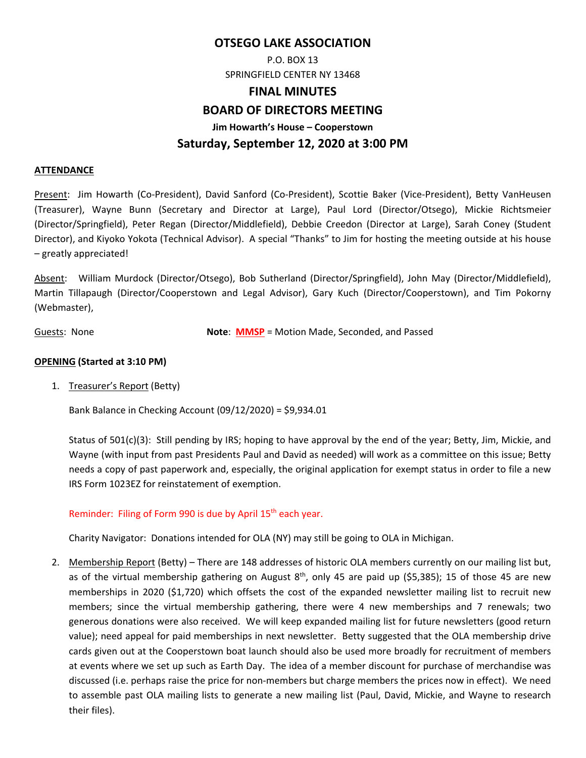## **OTSEGO LAKE ASSOCIATION**

P.O. BOX 13 SPRINGFIELD CENTER NY 13468

#### **FINAL MINUTES**

## **BOARD OF DIRECTORS MEETING**

**Jim Howarth's House – Cooperstown** 

# **Saturday, September 12, 2020 at 3:00 PM**

#### **ATTENDANCE**

Present: Jim Howarth (Co‐President), David Sanford (Co‐President), Scottie Baker (Vice‐President), Betty VanHeusen (Treasurer), Wayne Bunn (Secretary and Director at Large), Paul Lord (Director/Otsego), Mickie Richtsmeier (Director/Springfield), Peter Regan (Director/Middlefield), Debbie Creedon (Director at Large), Sarah Coney (Student Director), and Kiyoko Yokota (Technical Advisor). A special "Thanks" to Jim for hosting the meeting outside at his house – greatly appreciated!

Absent: William Murdock (Director/Otsego), Bob Sutherland (Director/Springfield), John May (Director/Middlefield), Martin Tillapaugh (Director/Cooperstown and Legal Advisor), Gary Kuch (Director/Cooperstown), and Tim Pokorny (Webmaster),

Guests: None **Note**: **MMSP** = Motion Made, Seconded, and Passed

## **OPENING (Started at 3:10 PM)**

1. Treasurer's Report (Betty)

Bank Balance in Checking Account (09/12/2020) = \$9,934.01

Status of 501(c)(3): Still pending by IRS; hoping to have approval by the end of the year; Betty, Jim, Mickie, and Wayne (with input from past Presidents Paul and David as needed) will work as a committee on this issue; Betty needs a copy of past paperwork and, especially, the original application for exempt status in order to file a new IRS Form 1023EZ for reinstatement of exemption.

## Reminder: Filing of Form 990 is due by April 15<sup>th</sup> each year.

Charity Navigator: Donations intended for OLA (NY) may still be going to OLA in Michigan.

2. Membership Report (Betty) – There are 148 addresses of historic OLA members currently on our mailing list but, as of the virtual membership gathering on August  $8<sup>th</sup>$ , only 45 are paid up (\$5,385); 15 of those 45 are new memberships in 2020 (\$1,720) which offsets the cost of the expanded newsletter mailing list to recruit new members; since the virtual membership gathering, there were 4 new memberships and 7 renewals; two generous donations were also received. We will keep expanded mailing list for future newsletters (good return value); need appeal for paid memberships in next newsletter. Betty suggested that the OLA membership drive cards given out at the Cooperstown boat launch should also be used more broadly for recruitment of members at events where we set up such as Earth Day. The idea of a member discount for purchase of merchandise was discussed (i.e. perhaps raise the price for non‐members but charge members the prices now in effect). We need to assemble past OLA mailing lists to generate a new mailing list (Paul, David, Mickie, and Wayne to research their files).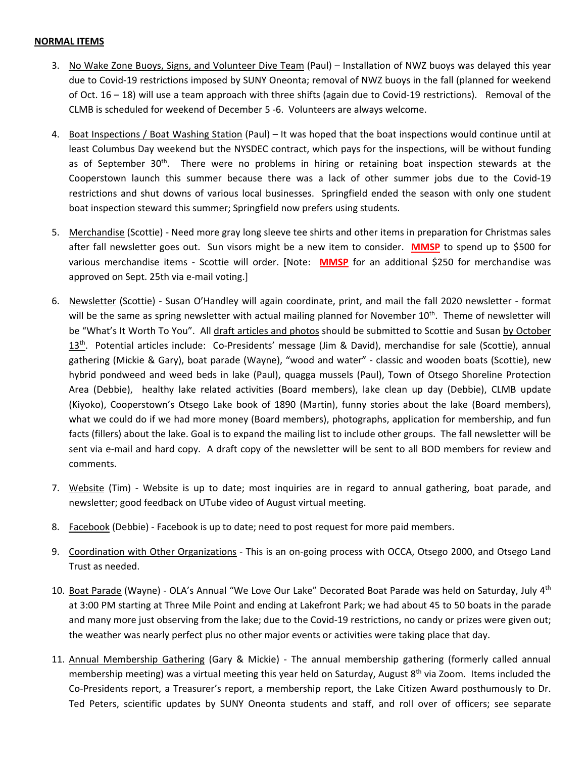#### **NORMAL ITEMS**

- 3. No Wake Zone Buoys, Signs, and Volunteer Dive Team (Paul) Installation of NWZ buoys was delayed this year due to Covid‐19 restrictions imposed by SUNY Oneonta; removal of NWZ buoys in the fall (planned for weekend of Oct. 16 – 18) will use a team approach with three shifts (again due to Covid-19 restrictions). Removal of the CLMB is scheduled for weekend of December 5 ‐6. Volunteers are always welcome.
- 4. Boat Inspections / Boat Washing Station (Paul) It was hoped that the boat inspections would continue until at least Columbus Day weekend but the NYSDEC contract, which pays for the inspections, will be without funding as of September  $30<sup>th</sup>$ . There were no problems in hiring or retaining boat inspection stewards at the Cooperstown launch this summer because there was a lack of other summer jobs due to the Covid‐19 restrictions and shut downs of various local businesses. Springfield ended the season with only one student boat inspection steward this summer; Springfield now prefers using students.
- 5. Merchandise (Scottie) ‐ Need more gray long sleeve tee shirts and other items in preparation for Christmas sales after fall newsletter goes out. Sun visors might be a new item to consider. **MMSP** to spend up to \$500 for various merchandise items - Scottie will order. [Note: MMSP for an additional \$250 for merchandise was approved on Sept. 25th via e‐mail voting.]
- 6. Newsletter (Scottie) ‐ Susan O'Handley will again coordinate, print, and mail the fall 2020 newsletter ‐ format will be the same as spring newsletter with actual mailing planned for November 10<sup>th</sup>. Theme of newsletter will be "What's It Worth To You". All draft articles and photos should be submitted to Scottie and Susan by October 13<sup>th</sup>. Potential articles include: Co-Presidents' message (Jim & David), merchandise for sale (Scottie), annual gathering (Mickie & Gary), boat parade (Wayne), "wood and water" ‐ classic and wooden boats (Scottie), new hybrid pondweed and weed beds in lake (Paul), quagga mussels (Paul), Town of Otsego Shoreline Protection Area (Debbie), healthy lake related activities (Board members), lake clean up day (Debbie), CLMB update (Kiyoko), Cooperstown's Otsego Lake book of 1890 (Martin), funny stories about the lake (Board members), what we could do if we had more money (Board members), photographs, application for membership, and fun facts (fillers) about the lake. Goal is to expand the mailing list to include other groups. The fall newsletter will be sent via e-mail and hard copy. A draft copy of the newsletter will be sent to all BOD members for review and comments.
- 7. Website (Tim) Website is up to date; most inquiries are in regard to annual gathering, boat parade, and newsletter; good feedback on UTube video of August virtual meeting.
- 8. Facebook (Debbie) ‐ Facebook is up to date; need to post request for more paid members.
- 9. Coordination with Other Organizations This is an on-going process with OCCA, Otsego 2000, and Otsego Land Trust as needed.
- 10. Boat Parade (Wayne) OLA's Annual "We Love Our Lake" Decorated Boat Parade was held on Saturday, July 4<sup>th</sup> at 3:00 PM starting at Three Mile Point and ending at Lakefront Park; we had about 45 to 50 boats in the parade and many more just observing from the lake; due to the Covid-19 restrictions, no candy or prizes were given out; the weather was nearly perfect plus no other major events or activities were taking place that day.
- 11. Annual Membership Gathering (Gary & Mickie) The annual membership gathering (formerly called annual membership meeting) was a virtual meeting this year held on Saturday, August 8<sup>th</sup> via Zoom. Items included the Co-Presidents report, a Treasurer's report, a membership report, the Lake Citizen Award posthumously to Dr. Ted Peters, scientific updates by SUNY Oneonta students and staff, and roll over of officers; see separate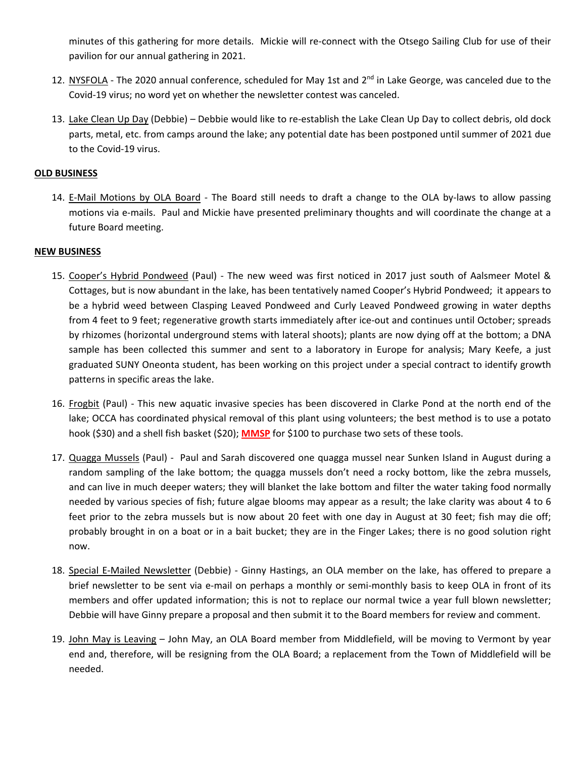minutes of this gathering for more details. Mickie will re‐connect with the Otsego Sailing Club for use of their pavilion for our annual gathering in 2021.

- 12. NYSFOLA The 2020 annual conference, scheduled for May 1st and 2<sup>nd</sup> in Lake George, was canceled due to the Covid‐19 virus; no word yet on whether the newsletter contest was canceled.
- 13. Lake Clean Up Day (Debbie) Debbie would like to re-establish the Lake Clean Up Day to collect debris, old dock parts, metal, etc. from camps around the lake; any potential date has been postponed until summer of 2021 due to the Covid‐19 virus.

## **OLD BUSINESS**

14. E-Mail Motions by OLA Board - The Board still needs to draft a change to the OLA by-laws to allow passing motions via e‐mails. Paul and Mickie have presented preliminary thoughts and will coordinate the change at a future Board meeting.

## **NEW BUSINESS**

- 15. Cooper's Hybrid Pondweed (Paul) ‐ The new weed was first noticed in 2017 just south of Aalsmeer Motel & Cottages, but is now abundant in the lake, has been tentatively named Cooper's Hybrid Pondweed; it appears to be a hybrid weed between Clasping Leaved Pondweed and Curly Leaved Pondweed growing in water depths from 4 feet to 9 feet; regenerative growth starts immediately after ice-out and continues until October; spreads by rhizomes (horizontal underground stems with lateral shoots); plants are now dying off at the bottom; a DNA sample has been collected this summer and sent to a laboratory in Europe for analysis; Mary Keefe, a just graduated SUNY Oneonta student, has been working on this project under a special contract to identify growth patterns in specific areas the lake.
- 16. Frogbit (Paul) This new aquatic invasive species has been discovered in Clarke Pond at the north end of the lake; OCCA has coordinated physical removal of this plant using volunteers; the best method is to use a potato hook (\$30) and a shell fish basket (\$20); **MMSP** for \$100 to purchase two sets of these tools.
- 17. Quagga Mussels (Paul) ‐ Paul and Sarah discovered one quagga mussel near Sunken Island in August during a random sampling of the lake bottom; the quagga mussels don't need a rocky bottom, like the zebra mussels, and can live in much deeper waters; they will blanket the lake bottom and filter the water taking food normally needed by various species of fish; future algae blooms may appear as a result; the lake clarity was about 4 to 6 feet prior to the zebra mussels but is now about 20 feet with one day in August at 30 feet; fish may die off; probably brought in on a boat or in a bait bucket; they are in the Finger Lakes; there is no good solution right now.
- 18. Special E‐Mailed Newsletter (Debbie) ‐ Ginny Hastings, an OLA member on the lake, has offered to prepare a brief newsletter to be sent via e‐mail on perhaps a monthly or semi‐monthly basis to keep OLA in front of its members and offer updated information; this is not to replace our normal twice a year full blown newsletter; Debbie will have Ginny prepare a proposal and then submit it to the Board members for review and comment.
- 19. John May is Leaving John May, an OLA Board member from Middlefield, will be moving to Vermont by year end and, therefore, will be resigning from the OLA Board; a replacement from the Town of Middlefield will be needed.